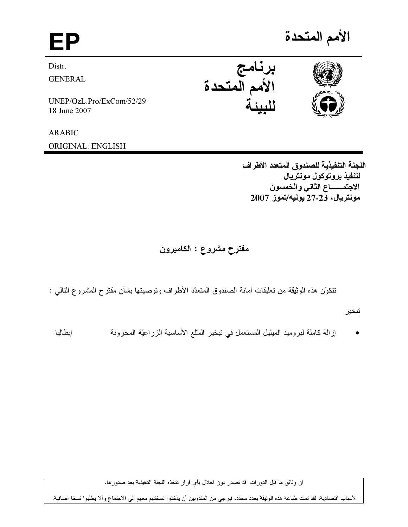EP

Distr.

**GENERAL** 

UNEP/OzL.Pro/ExCom/52/29 18 June 2007

**ARABIC ORIGINAL: ENGLISH** 





اللجنة التنفيذية للصندوق المتعدد الأطراف لتنفيذ بروتوكول مونتريال الاجتمـــــــاع الثاني والخمسون مونتريال، 23-27 يوليه/تموز 2007

مقترح مشروع : الكاميرون

نتكوّن هذه الوثيقة من تعليقات أمانة الصندوق المتعدّد الأطراف وتوصيتها بشأن مقتر ح المشروع التالمي :

تبخير

إزالة كاملة لبروميد الميثيل المستعمل في نبخير السلَّع الأساسية الزراعيَّة المخزونة إيطاليا

ان وثائق ما قبل الدورات قد تصدر دون اخلال بأي قرار تتخذه اللجنة التتفيذية بعد صدورها.

لأسباب اقتصادية، لقد تمت طباعة هذه الوثيقة بعدد محدد، فيرجى من المندوبين أن يأخذوا نسختهم معهم الى الاجتماع وألآ يطلبوا نسخا اضافية.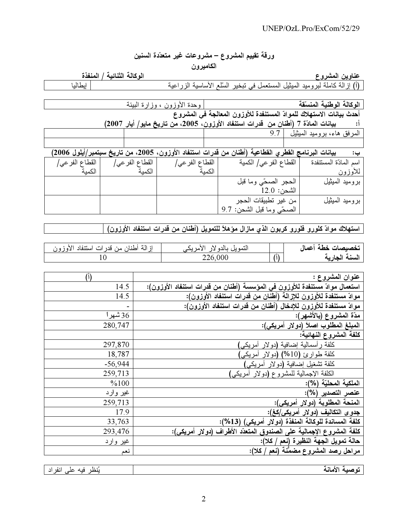## ورقة تقييم المشروع – مشروعات غير متعدّدة السنين

## الكاميرون

الوكالـة الثنـائيـة / المنفذة

<mark>عناوين المشروع</mark><br>(أ) إزالة كاملة لبروميد الميثيل المستعمل في تبخير السلم الأساسية الزراعية

انطالنا

| وحدة الأوزون ، وزارة البيئة                                                                        |                                                                     | الوكالة الوطنية المنسّقة   |
|----------------------------------------------------------------------------------------------------|---------------------------------------------------------------------|----------------------------|
|                                                                                                    | أحدث بيانات الاستهلاك للموادّ المستنفدة للأوزون المعالجة في المشروع |                            |
| بيانات المادّة 7 (أطنان من قدرات استنفاد الأوزون، 2005، من تاريخ مايو/ أيار 2007)                  |                                                                     |                            |
|                                                                                                    |                                                                     | المرفق هاء، بروميد الميثيل |
|                                                                                                    |                                                                     |                            |
| بيانات البرنامج القطري القطاعية (أطنان من قدرات استنفاد الأوزون، 2005، من تاريخ سبتمبر/أيلول 2006) |                                                                     |                            |

| القطاع الفر عي/<br>الكمنة | القطاع الفر عي/<br>الكمنة | القطاع الفر عي/<br>الكمنة | القطاع الفر عي/ الكمية                               | اسم المادّة المستنفدة<br>للأوزون |
|---------------------------|---------------------------|---------------------------|------------------------------------------------------|----------------------------------|
|                           |                           |                           | الحجر الصحّى وما قبل<br>$12.0$ الشحن:                | بروميد الميثيل                   |
|                           |                           |                           | من غير تطبيقات الحجر<br>الصحَّى وما قبل الشَّحن: 9.7 | بروميد الميثيل                   |

[ استهلاك موادّ كلورو فلورو كربون الذي مازال مؤهلاً للتمويل (أطنان من قدرات استنفاد الأوزون)

| از الَّة أطنان من قدر ات استنفاد الأوزون | الامر یکہ<br>التمويل<br>ے بالدہ لار |    | تخصيصات خطة أعمال |
|------------------------------------------|-------------------------------------|----|-------------------|
|                                          | 226,000                             | /أ | السنة الجارية     |

| $(\mathfrak{h})$ | عنوان المشروع :                                                            |
|------------------|----------------------------------------------------------------------------|
| 14.5             | استعمال موادّ مستنفدة للأوزون في المؤسسة (أطنان من قدرات استنفاد الأوزون): |
| 14.5             | موادّ مستنفدة للأوزون للإزالة (أطنان من قدرات استنفاد الأوزون):            |
| $\qquad \qquad$  | موادّ مستنفدة للأوزون للإدخال (أطنان من قدرات استنفاد الأوزون):            |
| 36 شهرا          | مدّة المشروع (بالأشهر):                                                    |
| 280,747          | المبلغ المطلوب اصلاً (دولار أمريكي):                                       |
|                  | كلفة المشروع النهائية:                                                     |
| 297,870          | كلفة رأسمالية إضافية (دولار أمريكي)                                        |
| 18,787           | كلفة طوارئ (10%)<br>(دولار امریکی                                          |
| $-56,944$        | كلفة تشغيل إضافية (دولار أمريكي)                                           |
| 259,713          | الكلفة الإجمالية للمشروع (دولار أمريكي)                                    |
| %100             | الملكية المحليّة (%):                                                      |
| غیر وارد         | عنصر التصدير (%):                                                          |
| 259,713          | المنحة المطلوبة (دولار أمريكي):                                            |
| 17.9             | جدو ى التكاليف (دولار أمريكي/كغ):                                          |
| 33,763           | كلفة المساندة للوكالة المنفذة (دولار أمريكي) (13%):                        |
| 293,476          | كلفة المشروع الإجمالية على الصندوق المتعدّد الأطراف (دولار أمريكي):        |
| غیر وارد         | حالة تمويل الجهة النظيرة (نعم / كلا):                                      |
| نعم              | مراحل رصد المشروع مضمَّنة (نعم / كلا):                                     |

| $\mathsf{L}$<br>نهد<br>قده<br>۱. ه<br>ا ا ا | --<br>$\overline{\phantom{a}}$<br>$- -$<br>. . |
|---------------------------------------------|------------------------------------------------|
|                                             |                                                |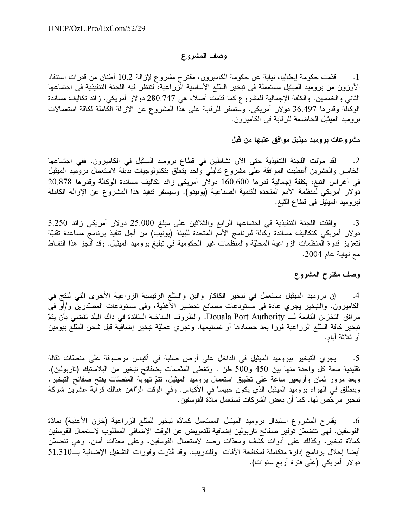### وصف المشروع

قدّمت حكومة إيطاليا، نيابة عن حكومة الكاميرون، مقترح مشروع لإزالة 10.2 أطنان من قدرات استنفاد  $\overline{\phantom{a}}$ . 1 الأوزون من بروميد الميثيل مستعملة في نبخير السّلع الأساسية الزراعية، لتنظر فيه اللجنة التنفيذية في اجتماعها الثاني والخمسين. والكلفة الإجمالية للمشروع كما ڤدّمت أصلاً، هي 280.747 دولار أمريكي، زائد تكاليف مساندة الوكالة وقدرها 36.497 دولار أمريكي. وستسفر للرقابة على هذا المشروع عن الإزالة الكاملة لكاقة استعمالات بروميد الميثيل الخاضعة للرقابة في الكاميرون.

مشروعات بروميد ميثيل موافق عليها من قبل

لقد موّلت اللجنة التنفيذية حتى الآن نشاطين في قطاع بروميد الميثيل في الكاميرون. ففي اجتماعها  $\cdot$ .2 الخامس والعشرين أعطيت الموافقة على مشروع تدليلي واحد يتعلق بتكنولوجيات بديلة لاستعمال بروميد الميثيل في أغراس النتبغ، بكلفة إجمالية قدرها 160.600 دولار أمريكي زائد تكاليف مساندة الوكالة وقدرها 20.878 دولار أمريكي لمنظمة الأمم المتحدة للتنمية الصناعية (يونيدو). وسيسفر نتفيذ هذا المشروع عن الإزالة الكاملة لبروميد الميثيل في قطاع التبغ.

وافقت اللجنة التنفيذية في اجتماعها الرابع والثلاثين على مبلغ 25.000 دولار أمريكي زائد 3.250  $\cdot$ 3 دولار أمريكي كتكاليف مساندة وكالَّة لبرنامج الأمم المتحدة للبيئة (يونيب) من أجل تنفيذ برنامج مساعدة تقنيَّة لتعزيز قدرة المنظمات الزراعية المحليّة والمنظمات غير الحكومية في تبليغ بروميد الميثيل. وقد أنـجز هذا النشاط مع نهاية عام 2004.

### وصف مقترح المشروع

إن بروميد الميثيل مستعمل في تبخير الكاكاو والبن والسلَّع الرئيسية الزراعية الأخرى التي تُنتج في  $.4$ الكاميرون. والتبخير يجري عادة في مستودعات مصانع تحضير الأغذية، وفي مستودعات المصدّرين و/أو في مر افق التخزين التابعة لـــ Douala Port Authority. والظروف المناخية السّائدة في ذاك البلد تقضي بأن يتمّ تبخير كافة السّلع الزراعية فوراً بعد حصادها أو تصنيعها. وتجري عمليّة تبخير إضافية قبل شحن السّلع بيومين أو ثلاثة أبام.

يجري التبخير ببروميد الميثيل في الداخل على أرض صلبة في أكياس مرصوفة على منصّات نقالة  $.5$ نقليدية سعة كل واحدة منها بين 450 و500 طن . وتُغطى المنّصات بضفائح تبخير من البلاستيك (تاربولين). وبعد مرور ثمان وأربعين ساعة على نطبيق استعمال بروميد الميثيل، نتمّ نهوية المنصّات بفتح صفائح التبخير، وينطلق في المهواء بروميد الميثيل الذي يكون حبيساً في الأكياس. وفي الوقت الرّاهن هنالك قرابة عشرين شركة تبخير مرحّص لها. كما أن بعض الشركات تستعمل مادّة الفوسفين.

يقترح المشروع استبدال بروميد الميثيل المستعمل كمادّة تبخير للسلّع الزراعية (خزن الأغذية) بمادّة  $.6$ الفوسفين. فهي نتضمّن توفير صفائح تاربولين إضافية للتعويض عن الوقت الإضافي المطلوب لاستعمال الفوسفين كمادّة تبخير، وكذلك على أدوات كشف ومعدّات رصد لاستعمال الفوسفين، وعلى معدّات أمان. وهي نتضمّن أيضاً إحلال برنامج إدارة متكاملة لمكافحة الأفات وللتدريب. وقد ڤُدّرت وفورات التشغيل الإضافية بــ51.310 دو لار أمريكي (على فترة أربع سنوات).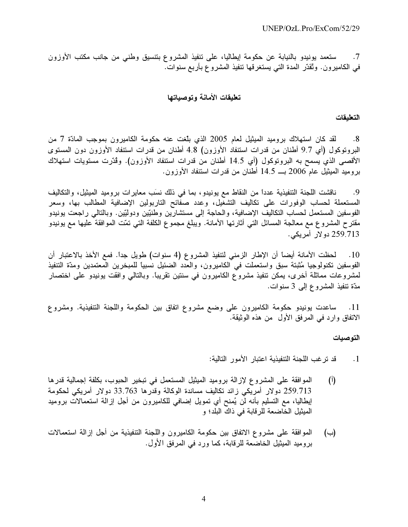ستعمد يونيدو بالنيابة عن حكومة إيطاليا، على تنفيذ المشروع بنتسيق وطنبي من جانب مكتب الأوزون  $\cdot$ .7 في الكاميرون. وتُقدّر المدة التي يستغرقها تنفيذ المشروع بأربع سنوات.

### تطيقات الأمانة وتوصياتها

### التعليقات

لقد كان استهلاك بروميد الميثيل لعام 2005 الذي بلّغت عنه حكومة الكاميرون بموجب المادّة 7 من  $.8$ البروتوكول (أي 9.7 أطنان من قدرات استنفاد الأوزون) 4.8 أطنان من قدرات استنفاد الأوزون دون المستوى الأقصبي الذي يسمح به البروتوكول (أي 14.5 أطنان من قدرات استنفاد الأوزون). وڤدّرت مستويات استهلاك بروميد الميثيل عام 2006 بـــ 14.5 أطنان من قدرات استنفاد الأوزون.

ناقشت اللجنة التنفيذية عدداً من النقاط مع يونيدو، بما في ذلك نسَب معايرات بروميد الميثيل، والتكاليف  $.9$ المستعملة لحساب الوفورات على تكاليف التشغيل، وعدد صفائح التاربولين الإضافية المطالب بها، وسعر الفوسفين المستعمل لحساب النكاليف الإضافية، والحاجة إلى مستشارين وطنيّين ودوليّين. وبالنالمي راجعت يونيدو مقترح المشروع مع معالجة المسائل التي أثارتها الأمانة. ويبلغ مجموع الكلفة التي تمّت الموافقة عليها مع يونيدو 259.713 دو لار أمريكي.

لحظت الأمانة أيضاً أن الإطار الزمني لتنفيذ المشروع (4 سنوات) طويل جداً. فمع الأخذ بالاعتبار أن  $.10$ الفوسفين تكنولوجيا مُثبتة سبق واستعملت في الكاميرون، والعدد الضئيل نسبيًا للمبخرين المعتمدين ومدّة التنفيذ لمشروعات مماثلة أخرى، يمكن تنفيذ مشروع الكاميرون في سنتين تقريباً. وبالتالي وافقت يونيدو على اختصار مدّة تنفيذ المشروع إلى 3 سنوات.

ساعدت يونيدو حكومة الكاميرون على وضع مشروع اتفاق بين الحكومة واللجنة التنفيذية. ومشروع  $\overline{\phantom{0}}$ .11 الاتفاق وارد فـي المرفق الأول ً من هذه الموثيقة.

#### التوصيات

- قد ترغب اللجنة التنفيذية اعتبار الأمور التالية:  $\cdot$ 1
- الموافقة على المشروع لإزالة بروميد الميثيل المستعمل في تبخير الحبوب، بكلفة إجمالية قدرها  $(\mathfrak{h})$ 259.713 دولار أمريكي زائد تكاليف مساندة الوكالة وقدرها 33.763 دولار أمريكي لحكومة ايطاليا، مع التسليم بأنه لن يُمنح أي تمويل إضـافـي للكاميرون من أجل إزالة استعمالات بروميد الميثيل الخّاضعة للرقابة في ذاكّ البلد؛ و
- الموافقة على مشروع الاتفاق بين حكومة الكاميرون واللجنة التنفيذية من أجل إزالة استعمالات  $(\rightarrow)$ بر وميد الميثيل الخاضعة للر قابة، كما ور د في المر فق الأول.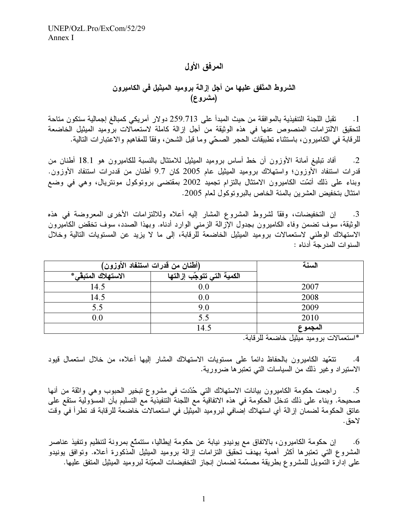## المرفق الأول

# الشروط المتّفق عليها من أجل إزالة بروميد الميثيل في الكاميرون (مشروع)

تقبل اللجنة التنفيذية بالموافقة من حيث المبدأ على 259.713 دولار أمريكي كمبالغ إجمالية ستكون متاحة  $\cdot$ 1 لتحقيق الالتزامات المنصوص عنها في هذه الوثيقة من أجل إزالة كاملة لاستعمالات بروميد الميثيل الخاضعة للرقابة في الكاميرون، باستثناء تطبيقات الحجر الصحّي وما قبل الشحن، وفقاً للمفاهيم والاعتبارات التالية.

أفاد تبليغ أمانة الأوزون أن خط أساس بروميد الميثيل للامتثال بالنسبة للكاميرون هو 18.1 أطنان من  $\cdot$ .2 قدرات استنفاد الأوزون؛ واستهلاك بروميد الميثيل عام 2005 كان 9.7 أطنان من قددرات استنفاد الأوزون. وبناء على ذلك أتمَّت الكاميرون الامتثال بالنزام تجميد 2002 بمقتضى بروتوكول مونتريال، وهي في وضع امتثال بتخفيض العشرين بالمئة الخاص بالبروتوكول لعام 2005.

إن التخفيضات، وفقًا لشروط المشروع المشار إليه أعلاه وللالتزامات الأخرى المعروضة في هذه .3 الوثيقة، سوف تضمن وفاء الكاميرون بجدول الإزالة الزمنى الوارد أدناه. وبهذا الصدد، سوف تخقض الكاميرون الاستهلاك الوطني لاستعمالات بروميد الميثيل الخاضعة للرقابة، إلى ما لا يزيد عن المستويات التالية وخلال السنوات المدر جة أدناه :

| (أطنان من قدرات استنفاد الأوزون) |                            | السنة   |
|----------------------------------|----------------------------|---------|
| الاستهلاك المتبقى*               | الكمية التي تتوجّب إزالتها |         |
| 14.5                             | 0.0                        | 2007    |
| 14.5                             | 0.0                        | 2008    |
| 5.5                              | 9.0                        | 2009    |
| 0.0                              |                            | 2010    |
|                                  | 14.5                       | المجموع |

\*استعمالات بر و ميد ميثيل خاضعة للر قابة.

نتعّهد الكاميرون بالحفاظ دائماً على مستويات الاستهلاك المشار إليها أعلاه، من خلال استعمال قيود  $.4$ الاستيراد وغير ذلك من السياسات التي تعتبر ها ضرورية.

راجعت حكومة الكاميرون بيانات الاستهلاك التي حُدّدت في مشروع تبخير الحبوب وهي واثقة من أنها  $.5$ صحيحة. وبناء على ذلك تدخل الحكومة في هذه الاتفاقية مع اللجنة التنفيذية مع التسليم بأن المسؤولية ستقع على عاتق الحكومة لضمان إزالة أي استهلاك إضافي لبروميد المُبِثيل في استعمالاتٌ خاضعة للرقابة قد تطرأ فيّ وقت لاحق.

إن حكومة الكاميرون، بالاتفاق مع يونيدو نيابة عن حكومة إيطاليا، ستتمتَّع بمرونة لتنظيم وتنفيذ عناصر  $.6$ المشروع التي تعتبرها أكثر أهمية بهدف تحقيق التزامات إزالة بروميد الميثيل المذكورة أعلاه. وتوافق يونيدو على إدارة التمويل للمشروع بطريقة مصمَّمة لضمان إنجاز التخفيضات المعيّنة لبروميد الميثيل المتفق عليها.